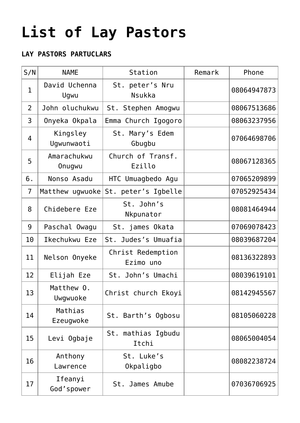## **[List of Lay Pastors](https://adonsk.com/list-of-lay-pastors/)**

## **LAY PASTORS PARTUCLARS**

| S/N            | <b>NAME</b>            | Station                             | Remark | Phone       |
|----------------|------------------------|-------------------------------------|--------|-------------|
| $\mathbf{1}$   | David Uchenna<br>Ugwu  | St. peter's Nru<br><b>Nsukka</b>    |        | 08064947873 |
| $\overline{2}$ | John oluchukwu         | St. Stephen Amogwu                  |        | 08067513686 |
| 3              | Onyeka Okpala          | Emma Church Igogoro                 |        | 08063237956 |
| 4              | Kingsley<br>Ugwunwaoti | St. Mary's Edem<br>Gbugbu           |        | 07064698706 |
| 5              | Amarachukwu<br>Onugwu  | Church of Transf.<br>Ezillo         |        | 08067128365 |
| 6.             | Nonso Asadu            | HTC Umuagbedo Agu                   |        | 07065209899 |
| $\overline{7}$ |                        | Matthew ugwuoke St. peter's Igbelle |        | 07052925434 |
| 8              | Chidebere Eze          | St. John's<br>Nkpunator             |        | 08081464944 |
| 9              | Paschal Owagu          | St. james Okata                     |        | 07069078423 |
| 10             | Ikechukwu Eze          | St. Judes's Umuafia                 |        | 08039687204 |
| 11             | Nelson Onyeke          | Christ Redemption<br>Ezimo uno      |        | 08136322893 |
| 12             | Elijah Eze             | St. John's Umachi                   |        | 08039619101 |
| 13             | Matthew 0.<br>Uwgwuoke | Christ church Ekoyi                 |        | 08142945567 |
| 14             | Mathias<br>Ezeugwoke   | St. Barth's Ogbosu                  |        | 08105060228 |
| 15             | Levi Ogbaje            | St. mathias Igbudu<br>Itchi         |        | 08065004054 |
| 16             | Anthony<br>Lawrence    | St. Luke's<br>Okpaligbo             |        | 08082238724 |
| 17             | Ifeanyi<br>God'spower  | St. James Amube                     |        | 07036706925 |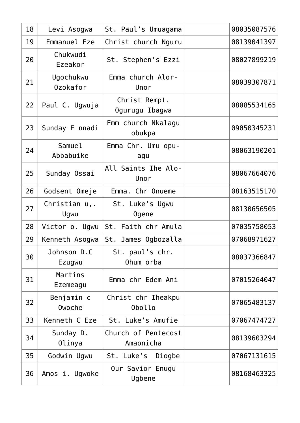| 18 | Levi Asogwa                 | St. Paul's Umuagama              | 08035087576 |
|----|-----------------------------|----------------------------------|-------------|
| 19 | Emmanuel Eze                | Christ church Nguru              | 08139041397 |
| 20 | Chukwudi<br>Ezeakor         | St. Stephen's Ezzi               | 08027899219 |
| 21 | Ugochukwu<br>Ozokafor       | Emma church Alor-<br>Unor        | 08039307871 |
| 22 | Paul C. Ugwuja              | Christ Rempt.<br>Ogurugu Ibagwa  | 08085534165 |
| 23 | Sunday E nnadi              | Emm church Nkalagu<br>obukpa     | 09050345231 |
| 24 | Samuel<br>Abbabuike         | Emma Chr. Umu opu-<br>agu        | 08063190201 |
| 25 | Sunday Ossai                | All Saints Ihe Alo-<br>Unor      | 08067664076 |
| 26 | Godsent Omeje               | Emma. Chr Onueme                 | 08163515170 |
| 27 | Christian u,.<br>Ugwu       | St. Luke's Ugwu<br><b>Ogene</b>  | 08130656505 |
| 28 | Victor o. Ugwu              | St. Faith chr Amula              | 07035758053 |
| 29 | Kenneth Asogwa              | St. James Ogbozalla              | 07068971627 |
| 30 | Johnson D.C<br>Ezugwu       | St. paul's chr.<br>Ohum orba     | 08037366847 |
| 31 | Martins<br>Ezemeagu         | Emma chr Edem Ani                | 07015264047 |
| 32 | Benjamin c<br><b>Owoche</b> | Christ chr Iheakpu<br>Obollo     | 07065483137 |
| 33 | Kenneth C Eze               | St. Luke's Amufie                | 07067474727 |
| 34 | Sunday D.<br>Olinya         | Church of Pentecost<br>Amaonicha | 08139603294 |
| 35 | Godwin Ugwu                 | St. Luke's Diogbe                | 07067131615 |
| 36 | Amos i. Ugwoke              | Our Savior Enugu<br>Ugbene       | 08168463325 |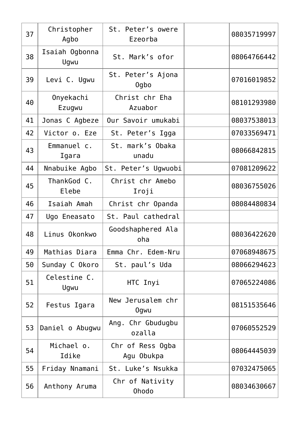| 37 | Christopher<br>Agbo    | St. Peter's owere<br>Ezeorba    | 08035719997 |
|----|------------------------|---------------------------------|-------------|
| 38 | Isaiah Ogbonna<br>Ugwu | St. Mark's ofor                 | 08064766442 |
| 39 | Levi C. Ugwu           | St. Peter's Ajona<br>0gbo       | 07016019852 |
| 40 | Onyekachi<br>Ezugwu    | Christ chr Eha<br>Azuabor       | 08101293980 |
| 41 | Jonas C Agbeze         | Our Savoir umukabi              | 08037538013 |
| 42 | Victor o. Eze          | St. Peter's Igga                | 07033569471 |
| 43 | Emmanuel c.<br>Igara   | St. mark's Obaka<br>unadu       | 08066842815 |
| 44 | Nnabuike Agbo          | St. Peter's Ugwuobi             | 07081209622 |
| 45 | ThankGod C.<br>Elebe   | Christ chr Amebo<br>Iroji       | 08036755026 |
| 46 | Isaiah Amah            | Christ chr Opanda               | 08084480834 |
| 47 | Ugo Eneasato           | St. Paul cathedral              |             |
| 48 | Linus Okonkwo          | Goodshaphered Ala<br>oha        | 08036422620 |
| 49 | Mathias Diara          | Emma Chr. Edem-Nru              | 07068948675 |
| 50 | Sunday C Okoro         | St. paul's Uda                  | 08066294623 |
| 51 | Celestine C.<br>Ugwu   | HTC Inyi                        | 07065224086 |
| 52 | Festus Igara           | New Jerusalem chr<br>0gwu       | 08151535646 |
| 53 | Daniel o Abugwu        | Ang. Chr Gbudugbu<br>ozalla     | 07060552529 |
| 54 | Michael o.<br>Idike    | Chr of Ress Ogba<br>Agu Obukpa  | 08064445039 |
| 55 | Friday Nnamani         | St. Luke's Nsukka               | 07032475065 |
| 56 | Anthony Aruma          | Chr of Nativity<br><b>Ohodo</b> | 08034630667 |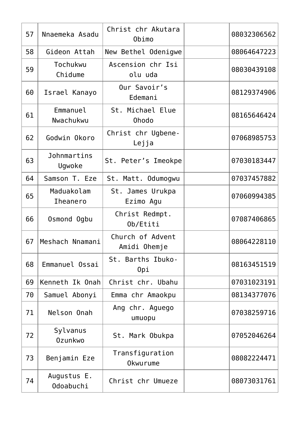| 57 | Nnaemeka Asadu                | Christ chr Akutara<br>Obimo      | 08032306562 |
|----|-------------------------------|----------------------------------|-------------|
| 58 | Gideon Attah                  | New Bethel Odenigwe              | 08064647223 |
| 59 | Tochukwu<br>Chidume           | Ascension chr Isi<br>olu uda     | 08030439108 |
| 60 | Israel Kanayo                 | Our Savoir's<br>Edemani          | 08129374906 |
| 61 | Emmanuel<br>Nwachukwu         | St. Michael Elue<br><b>Ohodo</b> | 08165646424 |
| 62 | Godwin Okoro                  | Christ chr Ugbene-<br>Lejja      | 07068985753 |
| 63 | Johnmartins<br>Ugwoke         | St. Peter's Imeokpe              | 07030183447 |
| 64 | Samson T. Eze                 | St. Matt. Odumogwu               | 07037457882 |
| 65 | Maduakolam<br><b>Iheanero</b> | St. James Urukpa<br>Ezimo Agu    | 07060994385 |
| 66 | Osmond Ogbu                   | Christ Redmpt.<br>Ob/Etiti       | 07087406865 |
| 67 | Meshach Nnamani               | Church of Advent<br>Amidi Ohemje | 08064228110 |
| 68 | Emmanuel Ossai                | St. Barths Ibuko-<br>Opi         | 08163451519 |
| 69 | Kenneth Ik Onah               | Christ chr. Ubahu                | 07031023191 |
| 70 | Samuel Abonyi                 | Emma chr Amaokpu                 | 08134377076 |
| 71 | Nelson Onah                   | Ang chr. Aguego<br>umuopu        | 07038259716 |
| 72 | Sylvanus<br>Ozunkwo           | St. Mark Obukpa                  | 07052046264 |
| 73 | Benjamin Eze                  | Transfiguration<br>Okwurume      | 08082224471 |
| 74 | Augustus E.<br>Odoabuchi      | Christ chr Umueze                | 08073031761 |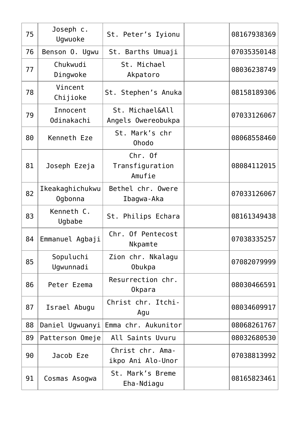| 75 | Joseph c.<br>Ugwuoke       | St. Peter's Iyionu                    | 08167938369 |
|----|----------------------------|---------------------------------------|-------------|
| 76 | Benson O. Ugwu             | St. Barths Umuaji                     | 07035350148 |
| 77 | Chukwudi<br>Dingwoke       | St. Michael<br>Akpatoro               | 08036238749 |
| 78 | Vincent<br>Chijioke        | St. Stephen's Anuka                   | 08158189306 |
| 79 | Innocent<br>Odinakachi     | St. Michael&All<br>Angels Owereobukpa | 07033126067 |
| 80 | Kenneth Eze                | St. Mark's chr<br><b>Ohodo</b>        | 08068558460 |
| 81 | Joseph Ezeja               | Chr. Of<br>Transfiguration<br>Amufie  | 08084112015 |
| 82 | Ikeakaghichukwu<br>Ogbonna | Bethel chr. Owere<br>Ibagwa-Aka       | 07033126067 |
| 83 | Kenneth C.<br>Ugbabe       | St. Philips Echara                    | 08161349438 |
| 84 | Emmanuel Agbaji            | Chr. Of Pentecost<br>Nkpamte          | 07038335257 |
| 85 | Sopuluchi<br>Ugwunnadi     | Zion chr. Nkalagu<br>Obukpa           | 07082079999 |
| 86 | Peter Ezema                | Resurrection chr.<br>Okpara           | 08030466591 |
| 87 | Israel Abugu               | Christ chr. Itchi-<br>Agu             | 08034609917 |
| 88 | Daniel Ugwuanyi            | Emma chr. Aukunitor                   | 08068261767 |
| 89 | Patterson Omeje            | All Saints Uvuru                      | 08032680530 |
| 90 | Jacob Eze                  | Christ chr. Ama-<br>ikpo Ani Alo-Unor | 07038813992 |
| 91 | Cosmas Asogwa              | St. Mark's Breme<br>Eha-Ndiagu        | 08165823461 |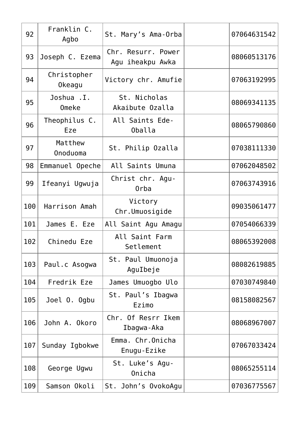| 92  | Franklin C.<br>Agbo   | St. Mary's Ama-Orba                    | 07064631542 |
|-----|-----------------------|----------------------------------------|-------------|
| 93  | Joseph C. Ezema       | Chr. Resurr. Power<br>Agu iheakpu Awka | 08060513176 |
| 94  | Christopher<br>Okeagu | Victory chr. Amufie                    | 07063192995 |
| 95  | Joshua . I.<br>Omeke  | St. Nicholas<br>Akaibute Ozalla        | 08069341135 |
| 96  | Theophilus C.<br>Eze  | All Saints Ede-<br>Oballa              | 08065790860 |
| 97  | Matthew<br>Onoduoma   | St. Philip Ozalla                      | 07038111330 |
| 98  | Emmanuel Opeche       | All Saints Umuna                       | 07062048502 |
| 99  | Ifeanyi Ugwuja        | Christ chr. Agu-<br>Orba               | 07063743916 |
| 100 | Harrison Amah         | Victory<br>Chr.Umuosigide              | 09035061477 |
| 101 | James E. Eze          | All Saint Agu Amagu                    | 07054066339 |
| 102 | Chinedu Eze           | All Saint Farm<br>Setlement            | 08065392008 |
| 103 | Paul.c Asogwa         | St. Paul Umuonoja<br>AguIbeje          | 08082619885 |
| 104 | Fredrik Eze           | James Umuogbo Ulo                      | 07030749840 |
| 105 | Joel O. Ogbu          | St. Paul's Ibagwa<br>Ezimo             | 08158082567 |
| 106 | John A. Okoro         | Chr. Of Resrr Ikem<br>Ibagwa-Aka       | 08068967007 |
| 107 | Sunday Igbokwe        | Emma. Chr.Onicha<br>Enugu-Ezike        | 07067033424 |
| 108 | George Ugwu           | St. Luke's Agu-<br>Onicha              | 08065255114 |
| 109 | Samson Okoli          | St. John's OvokoAgu                    | 07036775567 |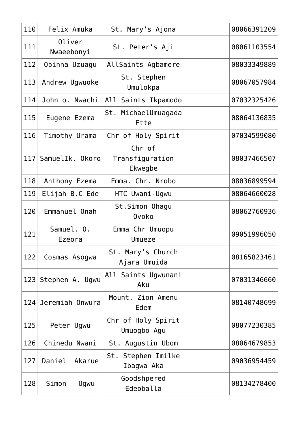| 110 | Felix Amuka          | St. Mary's Ajona                     | 08066391209 |
|-----|----------------------|--------------------------------------|-------------|
| 111 | Oliver<br>Nwaeebonyi | St. Peter's Aji                      | 08061103554 |
| 112 | Obinna Uzuagu        | AllSaints Agbamere                   | 08033349889 |
| 113 | Andrew Ugwuoke       | St. Stephen<br>Umulokpa              | 08067057984 |
| 114 | John o. Nwachi       | All Saints Ikpamodo                  | 07032325426 |
| 115 | Eugene Ezema         | St. MichaelUmuagada<br>Ette          | 08064136835 |
| 116 | Timothy Urama        | Chr of Holy Spirit                   | 07034599080 |
| 117 | SamuelIk. Okoro      | Chr of<br>Transfiguration<br>Ekwegbe | 08037466507 |
| 118 | Anthony Ezema        | Emma. Chr. Nrobo                     | 08036899594 |
| 119 | Elijah B.C Ede       | HTC Uwani-Ugwu                       | 08064660028 |
| 120 | Emmanuel Onah        | St.Simon Ohagu<br><b>Ovoko</b>       | 08062760936 |
| 121 | Samuel. 0.<br>Ezeora | Emma Chr Umuopu<br>Umueze            | 09051996050 |
| 122 | Cosmas Asogwa        | St. Mary's Church<br>Ajara Umuida    | 08165823461 |
| 123 | Stephen A. Ugwu      | All Saints Ugwunani<br>Aku           | 07031346660 |
| 124 | Jeremiah Onwura      | Mount. Zion Amenu<br>Edem            | 08140748699 |
| 125 | Peter Ugwu           | Chr of Holy Spirit<br>Umuogbo Agu    | 08077230385 |
| 126 | Chinedu Nwani        | St. Augustin Ubom                    | 08064679853 |
| 127 | Daniel Akarue        | St. Stephen Imilke<br>Ibagwa Aka     | 09036954459 |
| 128 | Simon<br>Ugwu        | Goodshpered<br>Edeoballa             | 08134278400 |